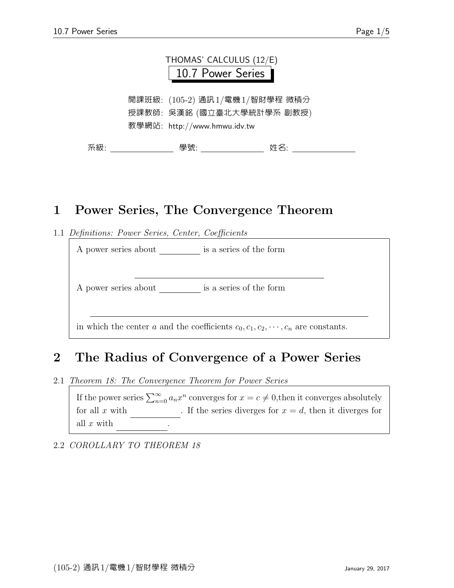

開課班級: (105-2) 通訊1/電機1/智財學程 微積分 授課教師: 吳漢銘 (國立臺北大學統計學系 副教授) 教學網站: http://www.hmwu.idv.tw

系級: アンチャン うちゃく うちゃく 學號: アンチャン サイン 姓名: アンチャン かんしょう

## 1 Power Series, The Convergence Theorem

1.1 Definitions: Power Series, Center, Coefficients

A power series about \_\_\_\_\_\_\_\_\_ is a series of the form

A power series about \_\_\_\_\_\_\_\_\_ is a series of the form

in which the center a and the coefficients  $c_0, c_1, c_2, \dots, c_n$  are constants.

## 2 The Radius of Convergence of a Power Series

2.1 Theorem 18: The Convergence Theorem for Power Series

If the power series  $\sum_{n=0}^{\infty} a_n x^n$  converges for  $x = c \neq 0$ , then it converges absolutely for all x with  $\qquad$ . If the series diverges for  $x = d$ , then it diverges for all  $x$  with

2.2 COROLLARY TO THEOREM 18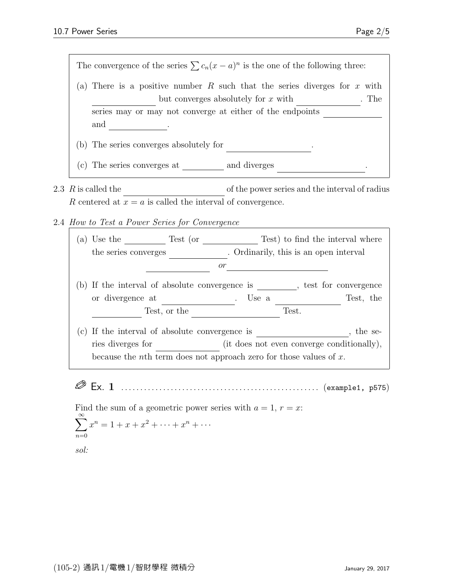

- 2.3  $R$  is called the  $\qquad \qquad$  of the power series and the interval of radius R centered at  $x = a$  is called the interval of convergence.
- 2.4 How to Test a Power Series for Convergence

| a)  | Test (or<br>Use the<br>the series converges                                   |           | . Ordinarily, this is an open interval | Test) to find the interval where |           |  |  |  |  |  |  |  |  |
|-----|-------------------------------------------------------------------------------|-----------|----------------------------------------|----------------------------------|-----------|--|--|--|--|--|--|--|--|
|     |                                                                               | <i>or</i> |                                        |                                  |           |  |  |  |  |  |  |  |  |
| (b) | If the interval of absolute convergence is<br>test for convergence            |           |                                        |                                  |           |  |  |  |  |  |  |  |  |
|     | or divergence at                                                              |           | Use a                                  |                                  | Test, the |  |  |  |  |  |  |  |  |
|     | Test, or the                                                                  |           |                                        | Test.                            |           |  |  |  |  |  |  |  |  |
| (c) | If the interval of absolute convergence is<br>the se-                         |           |                                        |                                  |           |  |  |  |  |  |  |  |  |
|     | ries diverges for<br>(it does not even converge conditionally),               |           |                                        |                                  |           |  |  |  |  |  |  |  |  |
|     | because the <i>n</i> th term does not approach zero for those values of $x$ . |           |                                        |                                  |           |  |  |  |  |  |  |  |  |

Ex. 1 . . . . . . . . . . . . . . . . . . . . . . . . . . . . . . . . . . . . . . . . . . . . . . . . . . . . (example1, p575)

Find the sum of a geometric power series with  $a = 1, r = x$ :

$$
\sum_{n=0}^{\infty} x^n = 1 + x + x^2 + \dots + x^n + \dots
$$

sol: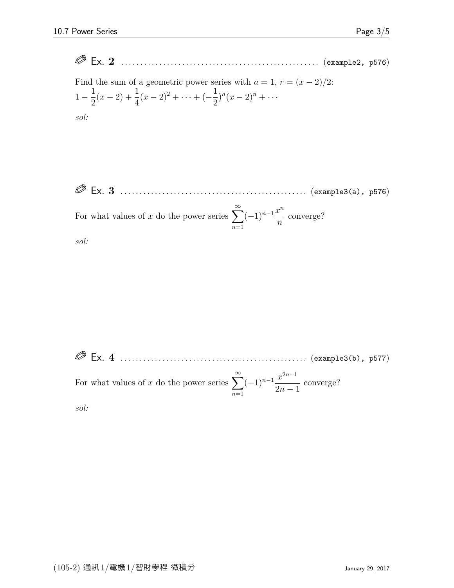Ex. 2 . . . . . . . . . . . . . . . . . . . . . . . . . . . . . . . . . . . . . . . . . . . . . . . . . . . . (example2, p576)

Find the sum of a geometric power series with  $a = 1, r = (x - 2)/2$ :  $1-\frac{1}{2}$ 2  $(x-2)+\frac{1}{4}$ 4  $(x-2)^2 + \cdots + (-\frac{1}{2})$ 2  $)^{n}(x-2)^{n}+\cdots$ sol:

 Ex. 3 . . . . . . . . . . . . . . . . . . . . . . . . . . . . . . . . . . . . . . . . . . . . . . . . . (example3(a), p576) For what values of x do the power series  $\sum_{n=0}^{\infty}$  $n=1$  $(-1)^{n-1}\frac{x^n}{x^n}$ n converge? sol:

 Ex. 4 . . . . . . . . . . . . . . . . . . . . . . . . . . . . . . . . . . . . . . . . . . . . . . . . . (example3(b), p577) For what values of x do the power series  $\sum_{n=0}^{\infty}$  $n=1$  $(-1)^{n-1}\frac{x^{2n-1}}{2}$  $2n - 1$ converge? sol: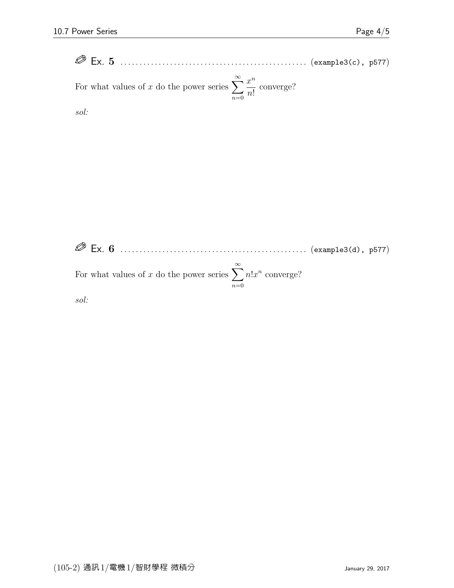| $\oslash$ Ex. 5                                                                         |  |  |  |  |  |  |  |  |  |  |  |  |
|-----------------------------------------------------------------------------------------|--|--|--|--|--|--|--|--|--|--|--|--|
| For what values of x do the power series $\sum_{n=0}^{\infty} \frac{x^n}{n!}$ converge? |  |  |  |  |  |  |  |  |  |  |  |  |

sol:

 Ex. 6 . . . . . . . . . . . . . . . . . . . . . . . . . . . . . . . . . . . . . . . . . . . . . . . . . (example3(d), p577) For what values of x do the power series  $\sum_{n=0}^{\infty}$  $n=0$  $n!x^n$  converge?

sol: